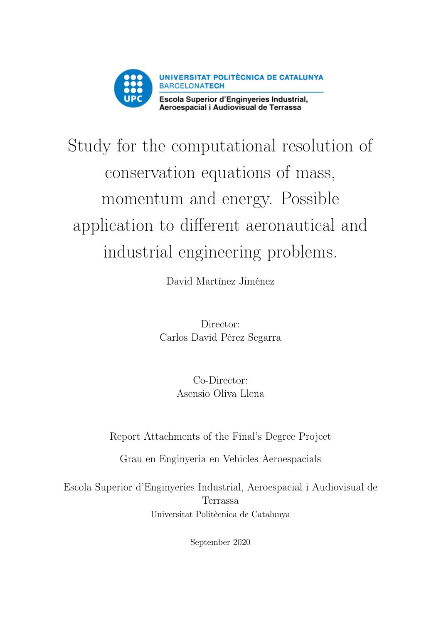

# Study for the computational resolution of conservation equations of mass, momentum and energy. Possible application to different aeronautical and industrial engineering problems.

David Martínez Jiménez

Director: Carlos David Pérez Segarra

> Co-Director: Asensio Oliva Llena

Report Attachments of the Final's Degree Project

Grau en Enginyeria en Vehicles Aeroespacials

Escola Superior d'Enginyeries Industrial, Aeroespacial i Audiovisual de Terrassa Universitat Politècnica de Catalunya

September 2020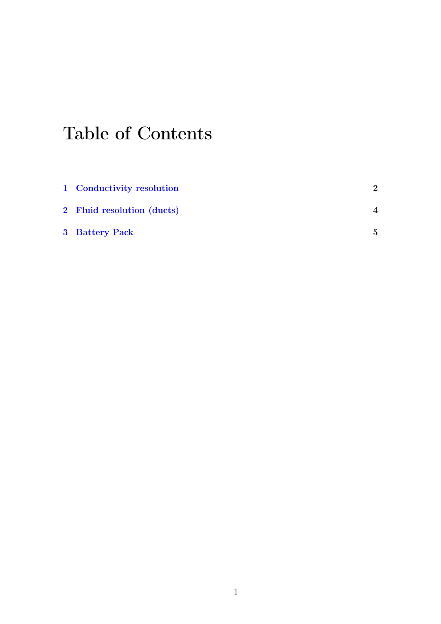# Table of Contents

| 1 Conductivity resolution  | $\mathbf 2$ |
|----------------------------|-------------|
| 2 Fluid resolution (ducts) | 4           |
| 3 Battery Pack             | 5           |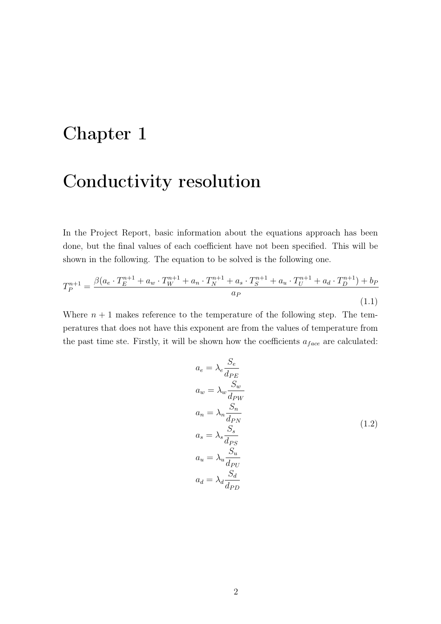## <span id="page-2-0"></span>Chapter 1

#### Conductivity resolution

In the Project Report, basic information about the equations approach has been done, but the final values of each coefficient have not been specified. This will be shown in the following. The equation to be solved is the following one.

$$
T_P^{n+1} = \frac{\beta(a_e \cdot T_E^{n+1} + a_w \cdot T_W^{n+1} + a_n \cdot T_N^{n+1} + a_s \cdot T_S^{n+1} + a_u \cdot T_U^{n+1} + a_d \cdot T_D^{n+1}) + b_P}{a_P}
$$
\n(1.1)

Where  $n + 1$  makes reference to the temperature of the following step. The temperatures that does not have this exponent are from the values of temperature from the past time ste. Firstly, it will be shown how the coefficients  $a_{face}$  are calculated:

$$
a_e = \lambda_e \frac{S_e}{d_{PE}}
$$
  
\n
$$
a_w = \lambda_w \frac{S_w}{d_{PW}}
$$
  
\n
$$
a_n = \lambda_n \frac{S_n}{d_{PN}}
$$
  
\n
$$
a_s = \lambda_s \frac{S_s}{d_{PS}}
$$
  
\n
$$
a_u = \lambda_u \frac{S_u}{d_{PU}}
$$
  
\n
$$
a_d = \lambda_d \frac{S_d}{d_{PD}}
$$
  
\n(1.2)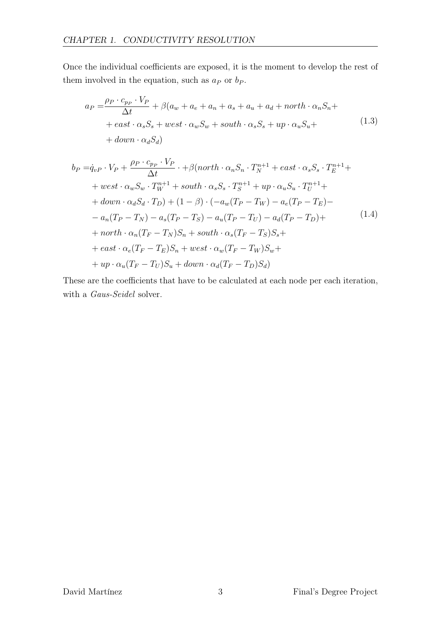Once the individual coefficients are exposed, it is the moment to develop the rest of them involved in the equation, such as  $a_P$  or  $b_P$ .

$$
a_P = \frac{\rho_P \cdot c_{p_P} \cdot V_P}{\Delta t} + \beta (a_w + a_e + a_n + a_s + a_u + a_d + north \cdot \alpha_n S_n +
$$
  
+ east \cdot \alpha\_s S\_s + west \cdot \alpha\_w S\_w + south \cdot \alpha\_s S\_s + up \cdot \alpha\_u S\_u +  
+ down \cdot \alpha\_d S\_d) (1.3)

$$
b_P = \dot{q}_{vP} \cdot V_P + \frac{\rho_P \cdot c_{pP} \cdot V_P}{\Delta t} \cdot + \beta(north \cdot \alpha_n S_n \cdot T_N^{n+1} + east \cdot \alpha_s S_s \cdot T_E^{n+1} +
$$
  
+ 
$$
+ west \cdot \alpha_w S_w \cdot T_W^{n+1} + south \cdot \alpha_s S_s \cdot T_S^{n+1} + up \cdot \alpha_u S_u \cdot T_U^{n+1} +
$$
  
+ 
$$
down \cdot \alpha_d S_d \cdot T_D) + (1 - \beta) \cdot (-a_w (T_P - T_W) - a_e (T_P - T_E) -
$$
  
- 
$$
a_n (T_P - T_N) - a_s (T_P - T_S) - a_u (T_P - T_U) - a_d (T_P - T_D) +
$$
  
+ 
$$
north \cdot \alpha_n (T_F - T_N) S_n + south \cdot \alpha_s (T_F - T_S) S_s +
$$
  
+ 
$$
east \cdot \alpha_e (T_F - T_E) S_n + west \cdot \alpha_w (T_F - T_W) S_w +
$$
  
+ 
$$
up \cdot \alpha_u (T_F - T_U) S_u + down \cdot \alpha_d (T_F - T_D) S_d)
$$
 (1.4)

These are the coefficients that have to be calculated at each node per each iteration, with a Gaus-Seidel solver.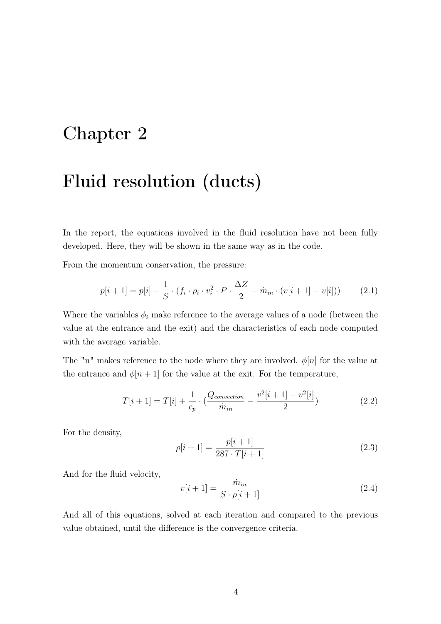#### <span id="page-4-0"></span>Chapter 2

## Fluid resolution (ducts)

In the report, the equations involved in the fluid resolution have not been fully developed. Here, they will be shown in the same way as in the code.

From the momentum conservation, the pressure:

$$
p[i+1] = p[i] - \frac{1}{S} \cdot (f_i \cdot \rho_i \cdot v_i^2 \cdot P \cdot \frac{\Delta Z}{2} - \dot{m}_{in} \cdot (v[i+1] - v[i])) \tag{2.1}
$$

Where the variables  $\phi_i$  make reference to the average values of a node (between the value at the entrance and the exit) and the characteristics of each node computed with the average variable.

The "n" makes reference to the node where they are involved.  $\phi[n]$  for the value at the entrance and  $\phi[n+1]$  for the value at the exit. For the temperature,

$$
T[i+1] = T[i] + \frac{1}{c_p} \cdot (\frac{Q_{convection}}{\dot{m}_{in}} - \frac{v^2[i+1] - v^2[i]}{2})
$$
\n(2.2)

For the density,

$$
\rho[i+1] = \frac{p[i+1]}{287 \cdot T[i+1]}
$$
\n(2.3)

And for the fluid velocity,

$$
v[i+1] = \frac{\dot{m}_{in}}{S \cdot \rho[i+1]}
$$
\n
$$
(2.4)
$$

And all of this equations, solved at each iteration and compared to the previous value obtained, until the difference is the convergence criteria.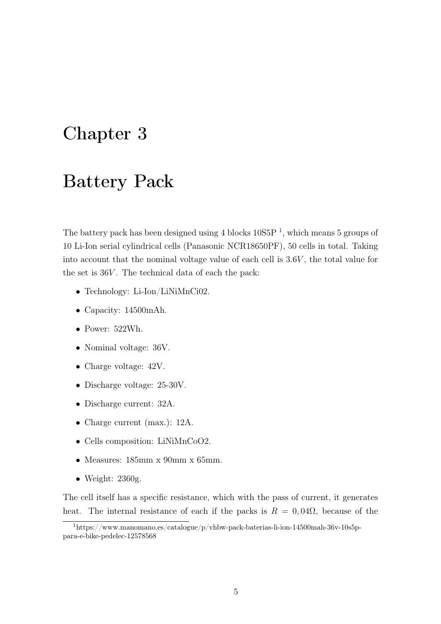#### <span id="page-5-0"></span>Chapter 3

#### Battery Pack

The battery pack has been designed using 4 blocks  $10S5P<sup>1</sup>$  $10S5P<sup>1</sup>$ , which means 5 groups of 10 Li-Ion serial cylindrical cells (Panasonic NCR18650PF), 50 cells in total. Taking into account that the nominal voltage value of each cell is 3.6V , the total value for the set is  $36V$ . The technical data of each the pack:

- Technology: Li-Ion/LiNiMnCi02.
- Capacity: 14500mAh.
- Power: 522Wh.
- Nominal voltage:  $36V$ .
- Charge voltage:  $42V$ .
- Discharge voltage: 25-30V.
- Discharge current: 32A.
- Charge current (max.): 12A.
- Cells composition: LiNiMnCoO2.
- Measures: 185mm x 90mm x 65mm.
- Weight: 2360g.

The cell itself has a specific resistance, which with the pass of current, it generates heat. The internal resistance of each if the packs is  $R = 0,04\Omega$ , because of the

<span id="page-5-1"></span><sup>1</sup>https://www.manomano.es/catalogue/p/vhbw-pack-baterias-li-ion-14500mah-36v-10s5ppara-e-bike-pedelec-12578568